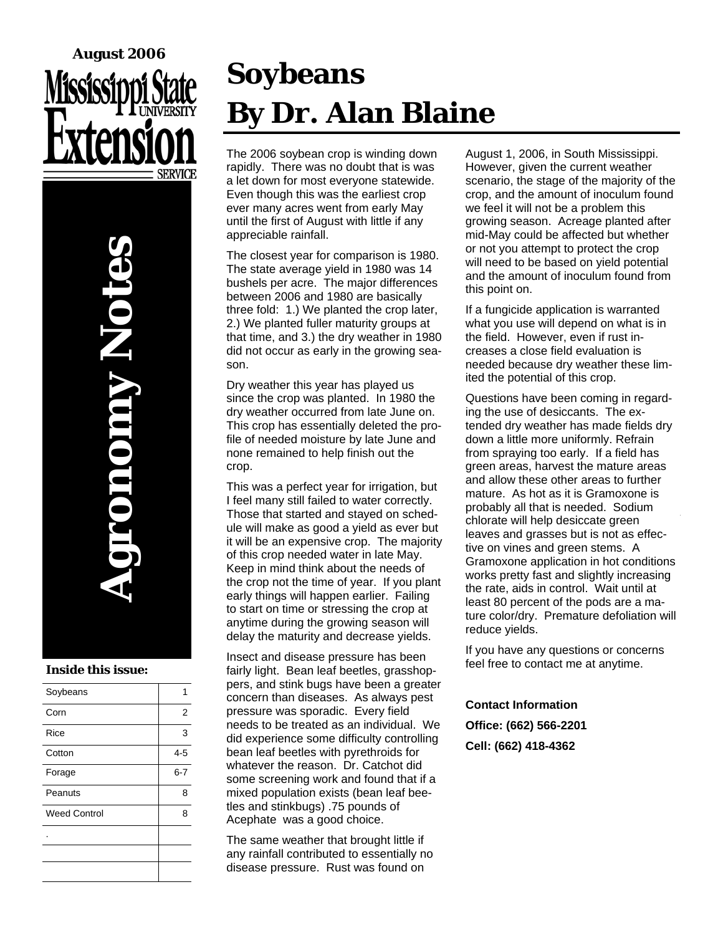# **August 2006**

**Agronomy Notes Onomy Not** 

#### **Inside this issue:**

| Soybeans            |                |
|---------------------|----------------|
| Corn                | $\overline{2}$ |
| Rice                | 3              |
| Cotton              | $4 - 5$        |
| Forage              | $6 - 7$        |
| Peanuts             | 8              |
| <b>Weed Control</b> | 8              |
|                     |                |
|                     |                |
|                     |                |

# **Soybeans By Dr. Alan Blaine**

The 2006 soybean crop is winding down rapidly. There was no doubt that is was a let down for most everyone statewide. Even though this was the earliest crop ever many acres went from early May until the first of August with little if any appreciable rainfall.

The closest year for comparison is 1980. The state average yield in 1980 was 14 bushels per acre. The major differences between 2006 and 1980 are basically three fold: 1.) We planted the crop later, 2.) We planted fuller maturity groups at that time, and 3.) the dry weather in 1980 did not occur as early in the growing season.

Dry weather this year has played us since the crop was planted. In 1980 the dry weather occurred from late June on. This crop has essentially deleted the profile of needed moisture by late June and none remained to help finish out the crop.

This was a perfect year for irrigation, but I feel many still failed to water correctly. Those that started and stayed on schedule will make as good a yield as ever but it will be an expensive crop. The majority of this crop needed water in late May. Keep in mind think about the needs of the crop not the time of year. If you plant early things will happen earlier. Failing to start on time or stressing the crop at anytime during the growing season will delay the maturity and decrease yields.

Insect and disease pressure has been fairly light. Bean leaf beetles, grasshoppers, and stink bugs have been a greater concern than diseases. As always pest pressure was sporadic. Every field needs to be treated as an individual. We did experience some difficulty controlling bean leaf beetles with pyrethroids for whatever the reason. Dr. Catchot did some screening work and found that if a mixed population exists (bean leaf beetles and stinkbugs) .75 pounds of Acephate was a good choice.

The same weather that brought little if any rainfall contributed to essentially no disease pressure. Rust was found on

August 1, 2006, in South Mississippi. However, given the current weather scenario, the stage of the majority of the crop, and the amount of inoculum found we feel it will not be a problem this growing season. Acreage planted after mid-May could be affected but whether or not you attempt to protect the crop will need to be based on yield potential and the amount of inoculum found from this point on.

If a fungicide application is warranted what you use will depend on what is in the field. However, even if rust increases a close field evaluation is needed because dry weather these limited the potential of this crop.

Questions have been coming in regarding the use of desiccants. The extended dry weather has made fields dry down a little more uniformly. Refrain from spraying too early. If a field has green areas, harvest the mature areas and allow these other areas to further mature. As hot as it is Gramoxone is probably all that is needed. Sodium chlorate will help desiccate green leaves and grasses but is not as effective on vines and green stems. A Gramoxone application in hot conditions works pretty fast and slightly increasing the rate, aids in control. Wait until at least 80 percent of the pods are a mature color/dry. Premature defoliation will reduce yields.

If you have any questions or concerns feel free to contact me at anytime.

#### **Contact Information**

**Office: (662) 566-2201 Cell: (662) 418-4362**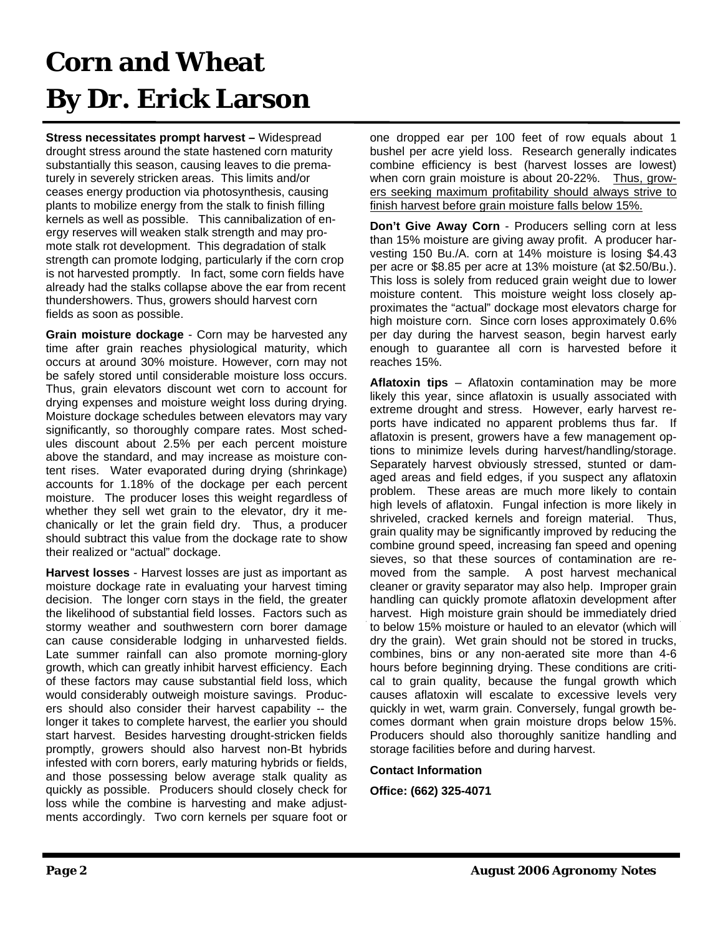## **Corn and Wheat By Dr. Erick Larson**

**Stress necessitates prompt harvest –** Widespread drought stress around the state hastened corn maturity substantially this season, causing leaves to die prematurely in severely stricken areas. This limits and/or ceases energy production via photosynthesis, causing plants to mobilize energy from the stalk to finish filling kernels as well as possible. This cannibalization of energy reserves will weaken stalk strength and may promote stalk rot development. This degradation of stalk strength can promote lodging, particularly if the corn crop is not harvested promptly. In fact, some corn fields have already had the stalks collapse above the ear from recent thundershowers. Thus, growers should harvest corn fields as soon as possible.

**Grain moisture dockage** - Corn may be harvested any time after grain reaches physiological maturity, which occurs at around 30% moisture. However, corn may not be safely stored until considerable moisture loss occurs. Thus, grain elevators discount wet corn to account for drying expenses and moisture weight loss during drying. Moisture dockage schedules between elevators may vary significantly, so thoroughly compare rates. Most schedules discount about 2.5% per each percent moisture above the standard, and may increase as moisture content rises. Water evaporated during drying (shrinkage) accounts for 1.18% of the dockage per each percent moisture. The producer loses this weight regardless of whether they sell wet grain to the elevator, dry it mechanically or let the grain field dry. Thus, a producer should subtract this value from the dockage rate to show their realized or "actual" dockage.

**Harvest losses** - Harvest losses are just as important as moisture dockage rate in evaluating your harvest timing decision. The longer corn stays in the field, the greater the likelihood of substantial field losses. Factors such as stormy weather and southwestern corn borer damage can cause considerable lodging in unharvested fields. Late summer rainfall can also promote morning-glory growth, which can greatly inhibit harvest efficiency. Each of these factors may cause substantial field loss, which would considerably outweigh moisture savings. Producers should also consider their harvest capability -- the longer it takes to complete harvest, the earlier you should start harvest. Besides harvesting drought-stricken fields promptly, growers should also harvest non-Bt hybrids infested with corn borers, early maturing hybrids or fields, and those possessing below average stalk quality as quickly as possible. Producers should closely check for loss while the combine is harvesting and make adjustments accordingly. Two corn kernels per square foot or one dropped ear per 100 feet of row equals about 1 bushel per acre yield loss. Research generally indicates combine efficiency is best (harvest losses are lowest) when corn grain moisture is about 20-22%. Thus, growers seeking maximum profitability should always strive to finish harvest before grain moisture falls below 15%.

**Don't Give Away Corn** - Producers selling corn at less than 15% moisture are giving away profit. A producer harvesting 150 Bu./A. corn at 14% moisture is losing \$4.43 per acre or \$8.85 per acre at 13% moisture (at \$2.50/Bu.). This loss is solely from reduced grain weight due to lower moisture content. This moisture weight loss closely approximates the "actual" dockage most elevators charge for high moisture corn. Since corn loses approximately 0.6% per day during the harvest season, begin harvest early enough to guarantee all corn is harvested before it reaches 15%.

**Aflatoxin tips** – Aflatoxin contamination may be more likely this year, since aflatoxin is usually associated with extreme drought and stress. However, early harvest reports have indicated no apparent problems thus far. If aflatoxin is present, growers have a few management options to minimize levels during harvest/handling/storage. Separately harvest obviously stressed, stunted or damaged areas and field edges, if you suspect any aflatoxin problem. These areas are much more likely to contain high levels of aflatoxin. Fungal infection is more likely in shriveled, cracked kernels and foreign material. Thus, grain quality may be significantly improved by reducing the combine ground speed, increasing fan speed and opening sieves, so that these sources of contamination are removed from the sample. A post harvest mechanical cleaner or gravity separator may also help. Improper grain handling can quickly promote aflatoxin development after harvest. High moisture grain should be immediately dried to below 15% moisture or hauled to an elevator (which will dry the grain). Wet grain should not be stored in trucks, combines, bins or any non-aerated site more than 4-6 hours before beginning drying. These conditions are critical to grain quality, because the fungal growth which causes aflatoxin will escalate to excessive levels very quickly in wet, warm grain. Conversely, fungal growth becomes dormant when grain moisture drops below 15%. Producers should also thoroughly sanitize handling and storage facilities before and during harvest.

#### **Contact Information**

**Office: (662) 325-4071**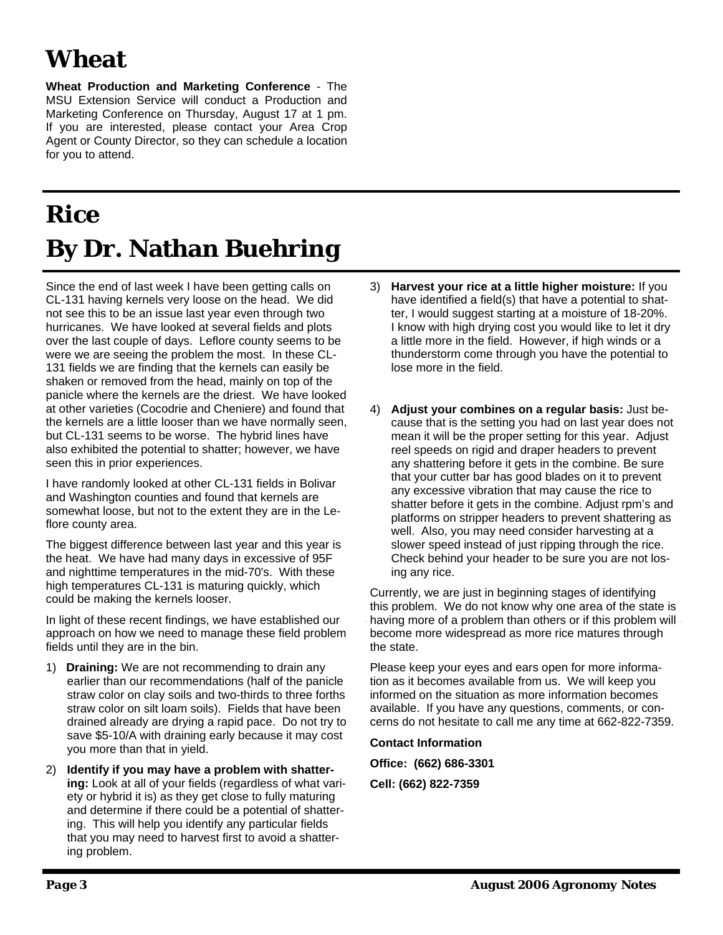## **Wheat**

**Wheat Production and Marketing Conference** - The MSU Extension Service will conduct a Production and Marketing Conference on Thursday, August 17 at 1 pm. If you are interested, please contact your Area Crop Agent or County Director, so they can schedule a location for you to attend.

## **Rice By Dr. Nathan Buehring**

Since the end of last week I have been getting calls on CL-131 having kernels very loose on the head. We did not see this to be an issue last year even through two hurricanes. We have looked at several fields and plots over the last couple of days. Leflore county seems to be were we are seeing the problem the most. In these CL-131 fields we are finding that the kernels can easily be shaken or removed from the head, mainly on top of the panicle where the kernels are the driest. We have looked at other varieties (Cocodrie and Cheniere) and found that the kernels are a little looser than we have normally seen, but CL-131 seems to be worse. The hybrid lines have also exhibited the potential to shatter; however, we have seen this in prior experiences.

I have randomly looked at other CL-131 fields in Bolivar and Washington counties and found that kernels are somewhat loose, but not to the extent they are in the Leflore county area.

The biggest difference between last year and this year is the heat. We have had many days in excessive of 95F and nighttime temperatures in the mid-70's. With these high temperatures CL-131 is maturing quickly, which could be making the kernels looser.

In light of these recent findings, we have established our approach on how we need to manage these field problem fields until they are in the bin.

- 1) **Draining:** We are not recommending to drain any earlier than our recommendations (half of the panicle straw color on clay soils and two-thirds to three forths straw color on silt loam soils). Fields that have been drained already are drying a rapid pace. Do not try to save \$5-10/A with draining early because it may cost you more than that in yield.
- 2) **Identify if you may have a problem with shattering:** Look at all of your fields (regardless of what variety or hybrid it is) as they get close to fully maturing and determine if there could be a potential of shattering. This will help you identify any particular fields that you may need to harvest first to avoid a shattering problem.
- 3) **Harvest your rice at a little higher moisture:** If you have identified a field(s) that have a potential to shatter, I would suggest starting at a moisture of 18-20%. I know with high drying cost you would like to let it dry a little more in the field. However, if high winds or a thunderstorm come through you have the potential to lose more in the field.
- 4) **Adjust your combines on a regular basis:** Just because that is the setting you had on last year does not mean it will be the proper setting for this year. Adjust reel speeds on rigid and draper headers to prevent any shattering before it gets in the combine. Be sure that your cutter bar has good blades on it to prevent any excessive vibration that may cause the rice to shatter before it gets in the combine. Adjust rpm's and platforms on stripper headers to prevent shattering as well. Also, you may need consider harvesting at a slower speed instead of just ripping through the rice. Check behind your header to be sure you are not losing any rice.

Currently, we are just in beginning stages of identifying this problem. We do not know why one area of the state is having more of a problem than others or if this problem will become more widespread as more rice matures through the state.

Please keep your eyes and ears open for more information as it becomes available from us. We will keep you informed on the situation as more information becomes available. If you have any questions, comments, or concerns do not hesitate to call me any time at 662-822-7359.

**Contact Information** 

**Office: (662) 686-3301** 

**Cell: (662) 822-7359**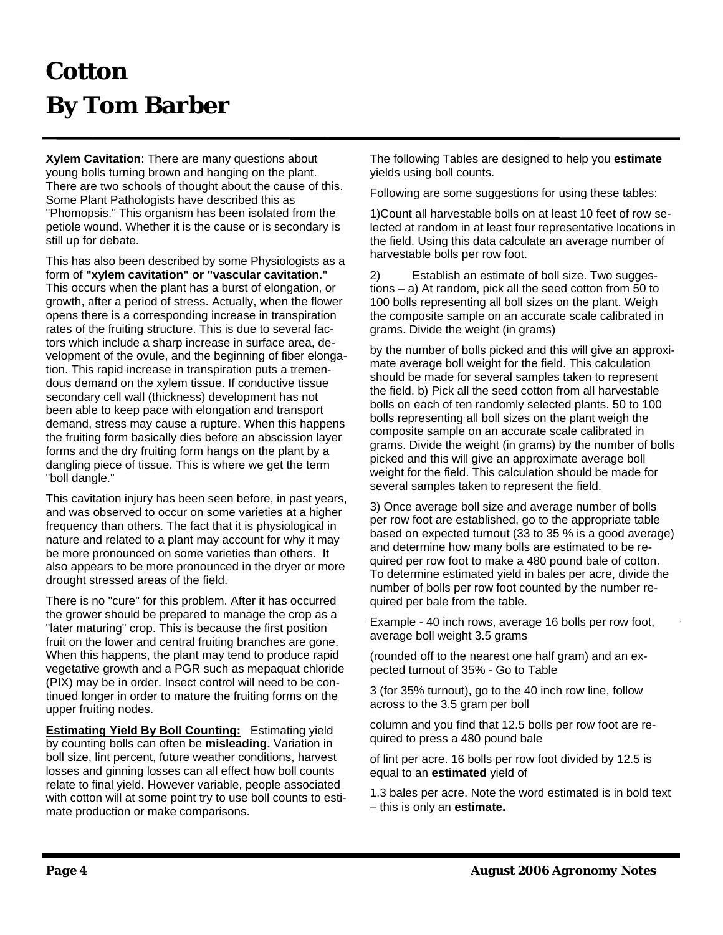## **Cotton By Tom Barber**

**Xylem Cavitation**: There are many questions about young bolls turning brown and hanging on the plant. There are two schools of thought about the cause of this. Some Plant Pathologists have described this as "Phomopsis." This organism has been isolated from the petiole wound. Whether it is the cause or is secondary is still up for debate.

This has also been described by some Physiologists as a form of **"xylem cavitation" or "vascular cavitation."** This occurs when the plant has a burst of elongation, or growth, after a period of stress. Actually, when the flower opens there is a corresponding increase in transpiration rates of the fruiting structure. This is due to several factors which include a sharp increase in surface area, development of the ovule, and the beginning of fiber elongation. This rapid increase in transpiration puts a tremendous demand on the xylem tissue. If conductive tissue secondary cell wall (thickness) development has not been able to keep pace with elongation and transport demand, stress may cause a rupture. When this happens the fruiting form basically dies before an abscission layer forms and the dry fruiting form hangs on the plant by a dangling piece of tissue. This is where we get the term "boll dangle."

This cavitation injury has been seen before, in past years, and was observed to occur on some varieties at a higher frequency than others. The fact that it is physiological in nature and related to a plant may account for why it may be more pronounced on some varieties than others. It also appears to be more pronounced in the dryer or more drought stressed areas of the field.

There is no "cure" for this problem. After it has occurred the grower should be prepared to manage the crop as a "later maturing" crop. This is because the first position fruit on the lower and central fruiting branches are gone. When this happens, the plant may tend to produce rapid vegetative growth and a PGR such as mepaquat chloride (PIX) may be in order. Insect control will need to be continued longer in order to mature the fruiting forms on the upper fruiting nodes.

**Estimating Yield By Boll Counting:** Estimating yield by counting bolls can often be **misleading.** Variation in boll size, lint percent, future weather conditions, harvest losses and ginning losses can all effect how boll counts relate to final yield. However variable, people associated with cotton will at some point try to use boll counts to estimate production or make comparisons.

The following Tables are designed to help you **estimate** yields using boll counts.

Following are some suggestions for using these tables:

1)Count all harvestable bolls on at least 10 feet of row selected at random in at least four representative locations in the field. Using this data calculate an average number of harvestable bolls per row foot.

2) Establish an estimate of boll size. Two suggestions – a) At random, pick all the seed cotton from 50 to 100 bolls representing all boll sizes on the plant. Weigh the composite sample on an accurate scale calibrated in grams. Divide the weight (in grams)

by the number of bolls picked and this will give an approximate average boll weight for the field. This calculation should be made for several samples taken to represent the field. b) Pick all the seed cotton from all harvestable bolls on each of ten randomly selected plants. 50 to 100 bolls representing all boll sizes on the plant weigh the composite sample on an accurate scale calibrated in grams. Divide the weight (in grams) by the number of bolls picked and this will give an approximate average boll weight for the field. This calculation should be made for several samples taken to represent the field.

3) Once average boll size and average number of bolls per row foot are established, go to the appropriate table based on expected turnout (33 to 35 % is a good average) and determine how many bolls are estimated to be required per row foot to make a 480 pound bale of cotton. To determine estimated yield in bales per acre, divide the number of bolls per row foot counted by the number required per bale from the table.

Example - 40 inch rows, average 16 bolls per row foot, average boll weight 3.5 grams

(rounded off to the nearest one half gram) and an expected turnout of 35% - Go to Table

3 (for 35% turnout), go to the 40 inch row line, follow across to the 3.5 gram per boll

column and you find that 12.5 bolls per row foot are required to press a 480 pound bale

of lint per acre. 16 bolls per row foot divided by 12.5 is equal to an **estimated** yield of

1.3 bales per acre. Note the word estimated is in bold text – this is only an **estimate.**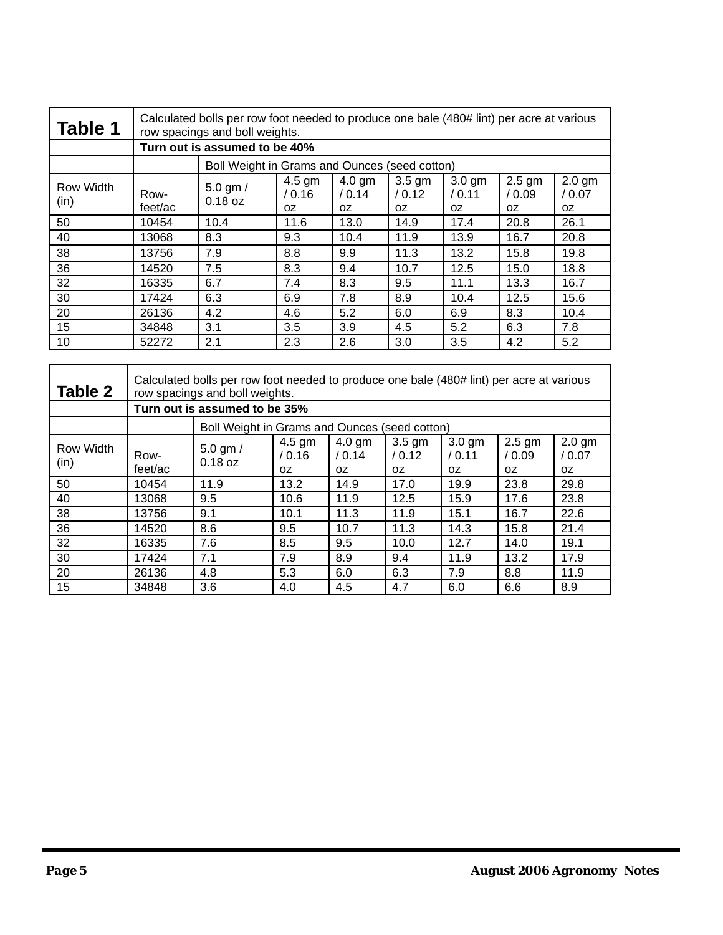| <b>Table 1</b>    | Calculated bolls per row foot needed to produce one bale (480# lint) per acre at various<br>row spacings and boll weights. |                                               |                          |                          |                          |                          |                          |                          |  |
|-------------------|----------------------------------------------------------------------------------------------------------------------------|-----------------------------------------------|--------------------------|--------------------------|--------------------------|--------------------------|--------------------------|--------------------------|--|
|                   | Turn out is assumed to be 40%                                                                                              |                                               |                          |                          |                          |                          |                          |                          |  |
|                   |                                                                                                                            | Boll Weight in Grams and Ounces (seed cotton) |                          |                          |                          |                          |                          |                          |  |
| Row Width<br>(in) | Row-<br>feet/ac                                                                                                            | $5.0$ gm $/$<br>$0.18$ oz                     | $4.5$ gm<br>/ 0.16<br>0Z | $4.0$ gm<br>/ 0.14<br>0Z | $3.5$ gm<br>/ 0.12<br>0Z | $3.0$ gm<br>/ 0.11<br>0Z | $2.5$ gm<br>/ 0.09<br>0Z | $2.0$ gm<br>/ 0.07<br>0Z |  |
| 50                | 10454                                                                                                                      | 10.4                                          | 11.6                     | 13.0                     | 14.9                     | 17.4                     | 20.8                     | 26.1                     |  |
| 40                | 13068                                                                                                                      | 8.3                                           | 9.3                      | 10.4                     | 11.9                     | 13.9                     | 16.7                     | 20.8                     |  |
| 38                | 13756                                                                                                                      | 7.9                                           | 8.8                      | 9.9                      | 11.3                     | 13.2                     | 15.8                     | 19.8                     |  |
| 36                | 14520                                                                                                                      | 7.5                                           | 8.3                      | 9.4                      | 10.7                     | 12.5                     | 15.0                     | 18.8                     |  |
| 32                | 16335                                                                                                                      | 6.7                                           | 7.4                      | 8.3                      | 9.5                      | 11.1                     | 13.3                     | 16.7                     |  |
| 30                | 17424                                                                                                                      | 6.3                                           | 6.9                      | 7.8                      | 8.9                      | 10.4                     | 12.5                     | 15.6                     |  |
| 20                | 26136                                                                                                                      | 4.2                                           | 4.6                      | 5.2                      | 6.0                      | 6.9                      | 8.3                      | 10.4                     |  |
| 15                | 34848                                                                                                                      | 3.1                                           | 3.5                      | 3.9                      | 4.5                      | 5.2                      | 6.3                      | 7.8                      |  |
| 10                | 52272                                                                                                                      | 2.1                                           | 2.3                      | 2.6                      | 3.0                      | 3.5                      | 4.2                      | 5.2                      |  |

| Table 2                  | Calculated bolls per row foot needed to produce one bale (480# lint) per acre at various<br>row spacings and boll weights. |                                               |                           |                           |                           |                           |                          |                           |  |
|--------------------------|----------------------------------------------------------------------------------------------------------------------------|-----------------------------------------------|---------------------------|---------------------------|---------------------------|---------------------------|--------------------------|---------------------------|--|
|                          | Turn out is assumed to be 35%                                                                                              |                                               |                           |                           |                           |                           |                          |                           |  |
|                          |                                                                                                                            | Boll Weight in Grams and Ounces (seed cotton) |                           |                           |                           |                           |                          |                           |  |
| <b>Row Width</b><br>(in) | Row-<br>feet/ac                                                                                                            | $5.0$ gm $/$<br>$0.18$ oz                     | $4.5$ gm<br>/ 0.16<br>OZ. | $4.0$ gm<br>/ 0.14<br>OZ. | $3.5$ gm<br>/ 0.12<br>OZ. | $3.0$ gm<br>/ 0.11<br>OZ. | $2.5$ gm<br>/ 0.09<br>0Z | $2.0$ gm<br>/ 0.07<br>OZ. |  |
| 50                       | 10454                                                                                                                      | 11.9                                          | 13.2                      | 14.9                      | 17.0                      | 19.9                      | 23.8                     | 29.8                      |  |
| 40                       | 13068                                                                                                                      | 9.5                                           | 10.6                      | 11.9                      | 12.5                      | 15.9                      | 17.6                     | 23.8                      |  |
| 38                       | 13756                                                                                                                      | 9.1                                           | 10.1                      | 11.3                      | 11.9                      | 15.1                      | 16.7                     | 22.6                      |  |
| 36                       | 14520                                                                                                                      | 8.6                                           | 9.5                       | 10.7                      | 11.3                      | 14.3                      | 15.8                     | 21.4                      |  |
| 32                       | 16335                                                                                                                      | 7.6                                           | 8.5                       | 9.5                       | 10.0                      | 12.7                      | 14.0                     | 19.1                      |  |
| 30                       | 17424                                                                                                                      | 7.1                                           | 7.9                       | 8.9                       | 9.4                       | 11.9                      | 13.2                     | 17.9                      |  |
| 20                       | 26136                                                                                                                      | 4.8                                           | 5.3                       | 6.0                       | 6.3                       | 7.9                       | 8.8                      | 11.9                      |  |
| 15                       | 34848                                                                                                                      | 3.6                                           | 4.0                       | 4.5                       | 4.7                       | 6.0                       | 6.6                      | 8.9                       |  |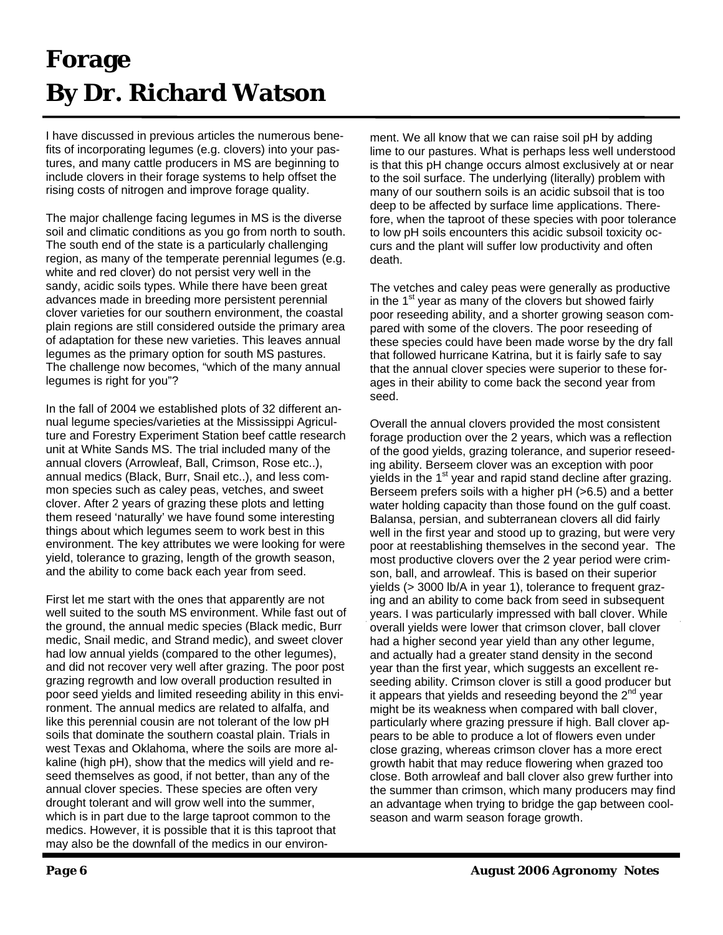## **Forage By Dr. Richard Watson**

I have discussed in previous articles the numerous benefits of incorporating legumes (e.g. clovers) into your pastures, and many cattle producers in MS are beginning to include clovers in their forage systems to help offset the rising costs of nitrogen and improve forage quality.

The major challenge facing legumes in MS is the diverse soil and climatic conditions as you go from north to south. The south end of the state is a particularly challenging region, as many of the temperate perennial legumes (e.g. white and red clover) do not persist very well in the sandy, acidic soils types. While there have been great advances made in breeding more persistent perennial clover varieties for our southern environment, the coastal plain regions are still considered outside the primary area of adaptation for these new varieties. This leaves annual legumes as the primary option for south MS pastures. The challenge now becomes, "which of the many annual legumes is right for you"?

In the fall of 2004 we established plots of 32 different annual legume species/varieties at the Mississippi Agriculture and Forestry Experiment Station beef cattle research unit at White Sands MS. The trial included many of the annual clovers (Arrowleaf, Ball, Crimson, Rose etc..), annual medics (Black, Burr, Snail etc..), and less common species such as caley peas, vetches, and sweet clover. After 2 years of grazing these plots and letting them reseed 'naturally' we have found some interesting things about which legumes seem to work best in this environment. The key attributes we were looking for were yield, tolerance to grazing, length of the growth season, and the ability to come back each year from seed.

First let me start with the ones that apparently are not well suited to the south MS environment. While fast out of the ground, the annual medic species (Black medic, Burr medic, Snail medic, and Strand medic), and sweet clover had low annual yields (compared to the other legumes), and did not recover very well after grazing. The poor post grazing regrowth and low overall production resulted in poor seed yields and limited reseeding ability in this environment. The annual medics are related to alfalfa, and like this perennial cousin are not tolerant of the low pH soils that dominate the southern coastal plain. Trials in west Texas and Oklahoma, where the soils are more alkaline (high pH), show that the medics will yield and reseed themselves as good, if not better, than any of the annual clover species. These species are often very drought tolerant and will grow well into the summer, which is in part due to the large taproot common to the medics. However, it is possible that it is this taproot that may also be the downfall of the medics in our environment. We all know that we can raise soil pH by adding lime to our pastures. What is perhaps less well understood is that this pH change occurs almost exclusively at or near to the soil surface. The underlying (literally) problem with many of our southern soils is an acidic subsoil that is too deep to be affected by surface lime applications. Therefore, when the taproot of these species with poor tolerance to low pH soils encounters this acidic subsoil toxicity occurs and the plant will suffer low productivity and often death.

The vetches and caley peas were generally as productive in the  $1<sup>st</sup>$  year as many of the clovers but showed fairly poor reseeding ability, and a shorter growing season compared with some of the clovers. The poor reseeding of these species could have been made worse by the dry fall that followed hurricane Katrina, but it is fairly safe to say that the annual clover species were superior to these forages in their ability to come back the second year from seed.

Overall the annual clovers provided the most consistent forage production over the 2 years, which was a reflection of the good yields, grazing tolerance, and superior reseeding ability. Berseem clover was an exception with poor yields in the 1<sup>st</sup> year and rapid stand decline after grazing. Berseem prefers soils with a higher pH (>6.5) and a better water holding capacity than those found on the gulf coast. Balansa, persian, and subterranean clovers all did fairly well in the first year and stood up to grazing, but were very poor at reestablishing themselves in the second year. The most productive clovers over the 2 year period were crimson, ball, and arrowleaf. This is based on their superior yields (> 3000 lb/A in year 1), tolerance to frequent grazing and an ability to come back from seed in subsequent years. I was particularly impressed with ball clover. While overall yields were lower that crimson clover, ball clover had a higher second year yield than any other legume, and actually had a greater stand density in the second year than the first year, which suggests an excellent reseeding ability. Crimson clover is still a good producer but it appears that yields and reseeding beyond the  $2<sup>nd</sup>$  year might be its weakness when compared with ball clover, particularly where grazing pressure if high. Ball clover appears to be able to produce a lot of flowers even under close grazing, whereas crimson clover has a more erect growth habit that may reduce flowering when grazed too close. Both arrowleaf and ball clover also grew further into the summer than crimson, which many producers may find an advantage when trying to bridge the gap between coolseason and warm season forage growth.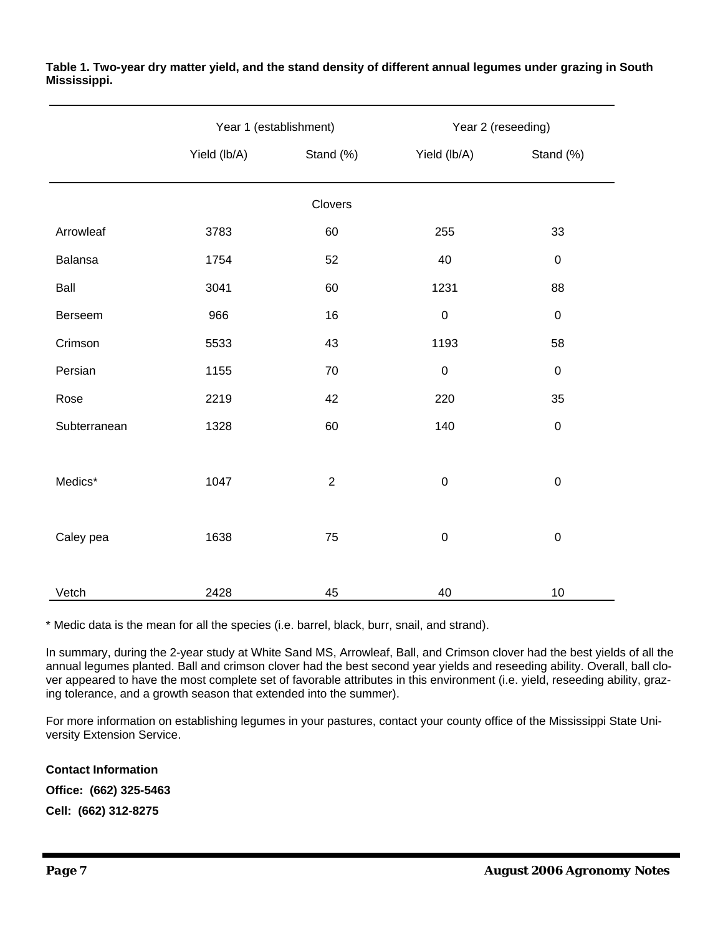|              | Year 1 (establishment) |                | Year 2 (reseeding) |             |  |  |  |  |  |  |
|--------------|------------------------|----------------|--------------------|-------------|--|--|--|--|--|--|
|              | Yield (lb/A)           | Stand (%)      | Yield (lb/A)       | Stand (%)   |  |  |  |  |  |  |
| Clovers      |                        |                |                    |             |  |  |  |  |  |  |
| Arrowleaf    | 3783                   | 60             | 255                | 33          |  |  |  |  |  |  |
| Balansa      | 1754                   | 52             | 40                 | $\pmb{0}$   |  |  |  |  |  |  |
| Ball         | 3041                   | 60             | 1231               | 88          |  |  |  |  |  |  |
| Berseem      | 966                    | 16             | $\pmb{0}$          | $\mathbf 0$ |  |  |  |  |  |  |
| Crimson      | 5533                   | 43             | 1193               | 58          |  |  |  |  |  |  |
| Persian      | 1155                   | 70             | $\mathbf 0$        | $\mathbf 0$ |  |  |  |  |  |  |
| Rose         | 2219                   | 42             | 220                | 35          |  |  |  |  |  |  |
| Subterranean | 1328                   | 60             | 140                | $\mathbf 0$ |  |  |  |  |  |  |
|              |                        |                |                    |             |  |  |  |  |  |  |
| Medics*      | 1047                   | $\overline{2}$ | $\boldsymbol{0}$   | $\mathbf 0$ |  |  |  |  |  |  |
|              |                        |                |                    |             |  |  |  |  |  |  |
| Caley pea    | 1638                   | 75             | $\pmb{0}$          | $\pmb{0}$   |  |  |  |  |  |  |
|              |                        |                |                    |             |  |  |  |  |  |  |
| Vetch        | 2428                   | 45             | 40                 | 10          |  |  |  |  |  |  |

**Table 1. Two-year dry matter yield, and the stand density of different annual legumes under grazing in South Mississippi.**

\* Medic data is the mean for all the species (i.e. barrel, black, burr, snail, and strand).

In summary, during the 2-year study at White Sand MS, Arrowleaf, Ball, and Crimson clover had the best yields of all the annual legumes planted. Ball and crimson clover had the best second year yields and reseeding ability. Overall, ball clover appeared to have the most complete set of favorable attributes in this environment (i.e. yield, reseeding ability, grazing tolerance, and a growth season that extended into the summer).

For more information on establishing legumes in your pastures, contact your county office of the Mississippi State University Extension Service.

**Contact Information Office: (662) 325-5463 Cell: (662) 312-8275**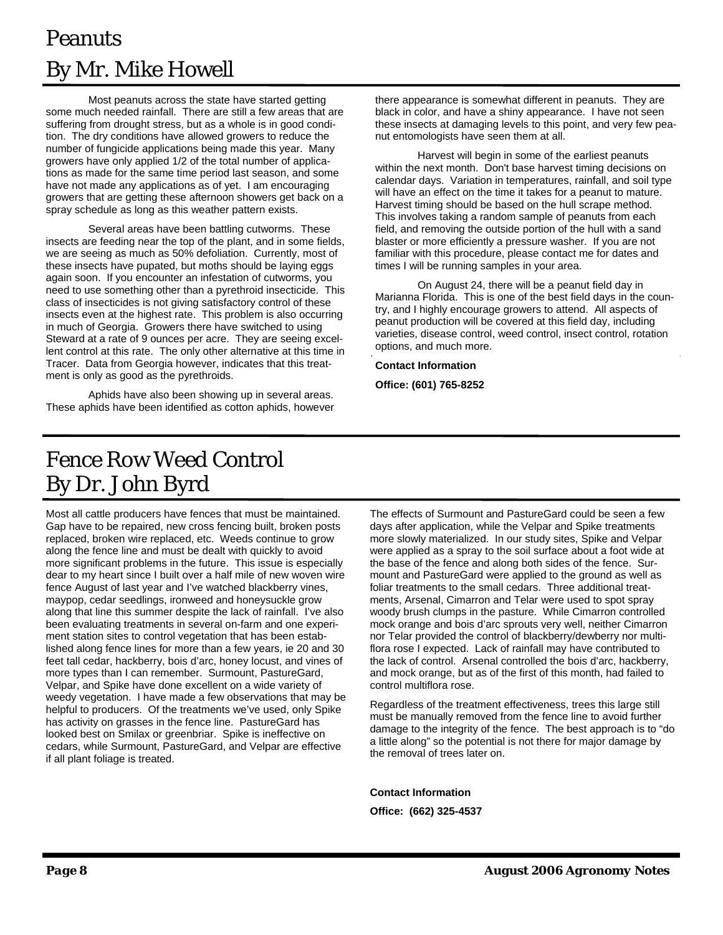### Peanuts By Mr. Mike Howell

Most peanuts across the state have started getting some much needed rainfall. There are still a few areas that are suffering from drought stress, but as a whole is in good condition. The dry conditions have allowed growers to reduce the number of fungicide applications being made this year. Many growers have only applied 1/2 of the total number of applications as made for the same time period last season, and some have not made any applications as of yet. I am encouraging growers that are getting these afternoon showers get back on a spray schedule as long as this weather pattern exists.

 Several areas have been battling cutworms. These insects are feeding near the top of the plant, and in some fields, we are seeing as much as 50% defoliation. Currently, most of these insects have pupated, but moths should be laying eggs again soon. If you encounter an infestation of cutworms, you need to use something other than a pyrethroid insecticide. This class of insecticides is not giving satisfactory control of these insects even at the highest rate. This problem is also occurring in much of Georgia. Growers there have switched to using Steward at a rate of 9 ounces per acre. They are seeing excellent control at this rate. The only other alternative at this time in Tracer. Data from Georgia however, indicates that this treatment is only as good as the pyrethroids.

 Aphids have also been showing up in several areas. These aphids have been identified as cotton aphids, however there appearance is somewhat different in peanuts. They are black in color, and have a shiny appearance. I have not seen these insects at damaging levels to this point, and very few peanut entomologists have seen them at all.

 Harvest will begin in some of the earliest peanuts within the next month. Don't base harvest timing decisions on calendar days. Variation in temperatures, rainfall, and soil type will have an effect on the time it takes for a peanut to mature. Harvest timing should be based on the hull scrape method. This involves taking a random sample of peanuts from each field, and removing the outside portion of the hull with a sand blaster or more efficiently a pressure washer. If you are not familiar with this procedure, please contact me for dates and times I will be running samples in your area.

 On August 24, there will be a peanut field day in Marianna Florida. This is one of the best field days in the country, and I highly encourage growers to attend. All aspects of peanut production will be covered at this field day, including varieties, disease control, weed control, insect control, rotation options, and much more.

#### **Contact Information**

**Office: (601) 765-8252** 

#### Fence Row Weed Control By Dr. John Byrd

Most all cattle producers have fences that must be maintained. Gap have to be repaired, new cross fencing built, broken posts replaced, broken wire replaced, etc. Weeds continue to grow along the fence line and must be dealt with quickly to avoid more significant problems in the future. This issue is especially dear to my heart since I built over a half mile of new woven wire fence August of last year and I've watched blackberry vines, maypop, cedar seedlings, ironweed and honeysuckle grow along that line this summer despite the lack of rainfall. I've also been evaluating treatments in several on-farm and one experiment station sites to control vegetation that has been established along fence lines for more than a few years, ie 20 and 30 feet tall cedar, hackberry, bois d'arc, honey locust, and vines of more types than I can remember. Surmount, PastureGard, Velpar, and Spike have done excellent on a wide variety of weedy vegetation. I have made a few observations that may be helpful to producers. Of the treatments we've used, only Spike has activity on grasses in the fence line. PastureGard has looked best on Smilax or greenbriar. Spike is ineffective on cedars, while Surmount, PastureGard, and Velpar are effective if all plant foliage is treated.

The effects of Surmount and PastureGard could be seen a few days after application, while the Velpar and Spike treatments more slowly materialized. In our study sites, Spike and Velpar were applied as a spray to the soil surface about a foot wide at the base of the fence and along both sides of the fence. Surmount and PastureGard were applied to the ground as well as foliar treatments to the small cedars. Three additional treatments, Arsenal, Cimarron and Telar were used to spot spray woody brush clumps in the pasture. While Cimarron controlled mock orange and bois d'arc sprouts very well, neither Cimarron nor Telar provided the control of blackberry/dewberry nor multiflora rose I expected. Lack of rainfall may have contributed to the lack of control. Arsenal controlled the bois d'arc, hackberry, and mock orange, but as of the first of this month, had failed to control multiflora rose.

Regardless of the treatment effectiveness, trees this large still must be manually removed from the fence line to avoid further damage to the integrity of the fence. The best approach is to "do a little along" so the potential is not there for major damage by the removal of trees later on.

**Contact Information** 

**Office: (662) 325-4537**